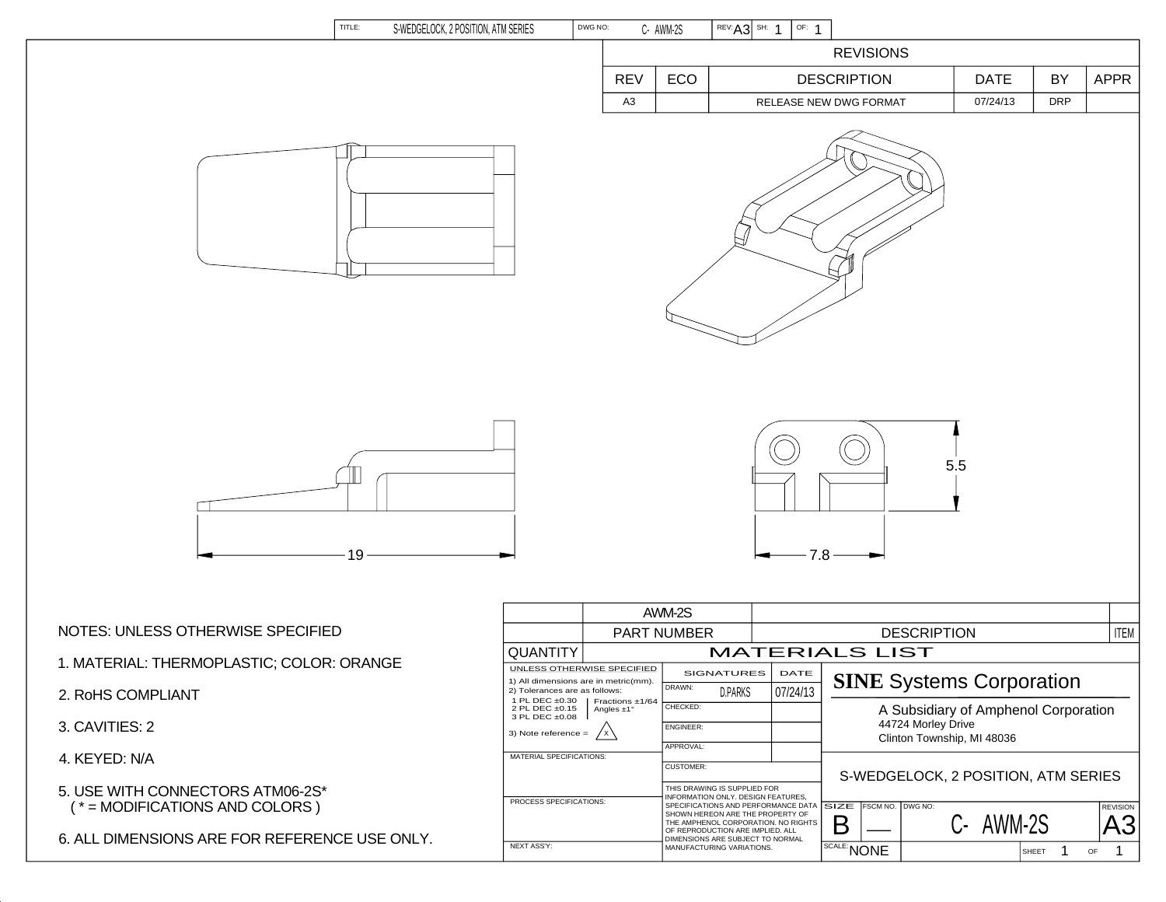| TITLE:<br>S-WEDGELOCK, 2 POSITION, ATM SERIES                        | DWG NO:                                                                    |                                                                                                           | C- AWM-2S                     | REV: A3 SH: 1<br>OF: 1                                                                                                                        |                                                                                          |                                     |                                 |                                                                            |  |
|----------------------------------------------------------------------|----------------------------------------------------------------------------|-----------------------------------------------------------------------------------------------------------|-------------------------------|-----------------------------------------------------------------------------------------------------------------------------------------------|------------------------------------------------------------------------------------------|-------------------------------------|---------------------------------|----------------------------------------------------------------------------|--|
|                                                                      | <b>REVISIONS</b>                                                           |                                                                                                           |                               |                                                                                                                                               |                                                                                          |                                     |                                 |                                                                            |  |
|                                                                      |                                                                            | <b>REV</b>                                                                                                | ECO                           |                                                                                                                                               | <b>DESCRIPTION</b>                                                                       | <b>DATE</b>                         | BY                              | <b>APPR</b>                                                                |  |
|                                                                      |                                                                            | A <sub>3</sub>                                                                                            |                               |                                                                                                                                               | RELEASE NEW DWG FORMAT                                                                   | 07/24/13                            | <b>DRP</b>                      |                                                                            |  |
|                                                                      |                                                                            |                                                                                                           |                               |                                                                                                                                               |                                                                                          |                                     |                                 |                                                                            |  |
| 19                                                                   |                                                                            |                                                                                                           |                               | $-7.8 -$                                                                                                                                      |                                                                                          | 5.5                                 |                                 |                                                                            |  |
|                                                                      |                                                                            |                                                                                                           | AWM-2S                        |                                                                                                                                               |                                                                                          |                                     |                                 |                                                                            |  |
| NOTES: UNLESS OTHERWISE SPECIFIED                                    |                                                                            |                                                                                                           | PART NUMBER                   |                                                                                                                                               |                                                                                          | <b>DESCRIPTION</b>                  |                                 | <b>ITEM</b>                                                                |  |
| 1. MATERIAL: THERMOPLASTIC; COLOR: ORANGE                            | QUANTITY<br>UNLESS OTHERWISE SPECIFIED                                     |                                                                                                           |                               | <b>MATERIALS LIST</b><br>SIGNATURES<br>DATE                                                                                                   |                                                                                          |                                     |                                 |                                                                            |  |
| 2. RoHS COMPLIANT                                                    | 2 PL DEC ±0.15                                                             | 1) All dimensions are in metric(mm).<br>2) Tolerances are as follows:<br>1 PL DEC ±0.30   Fractions ±1/64 |                               | <b>D.PARKS</b><br>07/24/13                                                                                                                    |                                                                                          |                                     | <b>SINE Systems Corporation</b> |                                                                            |  |
| 3. CAVITIES: 2                                                       | Angles $\pm 1^{\circ}$<br>3 PL DEC ±0.08<br>3) Note reference $=$<br>/ x \ |                                                                                                           | CHECKED:<br><b>ENGINEER:</b>  |                                                                                                                                               | A Subsidiary of Amphenol Corporation<br>44724 Morley Drive<br>Clinton Township, MI 48036 |                                     |                                 |                                                                            |  |
| 4. KEYED: N/A                                                        | MATERIAL SPECIFICATIONS:                                                   |                                                                                                           | APPROVAL:<br><b>CUSTOMER:</b> |                                                                                                                                               |                                                                                          |                                     |                                 |                                                                            |  |
| 5. USE WITH CONNECTORS ATM06-2S*<br>$(* = MODIFICATIONS AND COLORS)$ | PROCESS SPECIFICATIONS:                                                    |                                                                                                           |                               | THIS DRAWING IS SUPPLIED FOR<br>INFORMATION ONLY, DESIGN FEATURES.<br>SPECIFICATIONS AND PERFORMANCE DATA<br>SHOWN HEREON ARE THE PROPERTY OF | SIZE<br>FSCM NO. DWG NO:                                                                 | S-WEDGELOCK, 2 POSITION, ATM SERIES |                                 | <b>REVISION</b>                                                            |  |
| 6. ALL DIMENSIONS ARE FOR REFERENCE USE ONLY.                        | <b>NEXT ASS'Y:</b>                                                         |                                                                                                           |                               | THE AMPHENOL CORPORATION. NO RIGHTS<br>OF REPRODUCTION ARE IMPLIED. ALL<br>DIMENSIONS ARE SUBJECT TO NORMAL<br>MANUFACTURING VARIATIONS.      | Β<br>SCALE: NONE                                                                         | C- AWM-2S                           | SHEET<br>- 1                    | A <sub>3</sub><br>$\mathbf{1}$<br>$\mathsf{OF}% \left( \mathcal{M}\right)$ |  |